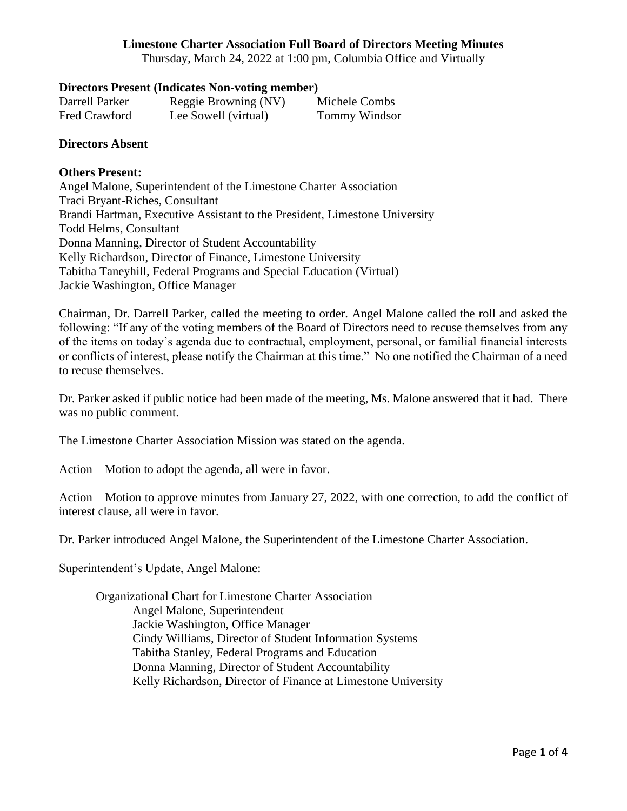Thursday, March 24, 2022 at 1:00 pm, Columbia Office and Virtually

#### **Directors Present (Indicates Non-voting member)**

| Darrell Parker | Reggie Browning (NV) | Michele Combs        |
|----------------|----------------------|----------------------|
| Fred Crawford  | Lee Sowell (virtual) | <b>Tommy Windsor</b> |

#### **Directors Absent**

#### **Others Present:**

Angel Malone, Superintendent of the Limestone Charter Association Traci Bryant-Riches, Consultant Brandi Hartman, Executive Assistant to the President, Limestone University Todd Helms, Consultant Donna Manning, Director of Student Accountability Kelly Richardson, Director of Finance, Limestone University Tabitha Taneyhill, Federal Programs and Special Education (Virtual) Jackie Washington, Office Manager

Chairman, Dr. Darrell Parker, called the meeting to order. Angel Malone called the roll and asked the following: "If any of the voting members of the Board of Directors need to recuse themselves from any of the items on today's agenda due to contractual, employment, personal, or familial financial interests or conflicts of interest, please notify the Chairman at this time." No one notified the Chairman of a need to recuse themselves.

Dr. Parker asked if public notice had been made of the meeting, Ms. Malone answered that it had. There was no public comment.

The Limestone Charter Association Mission was stated on the agenda.

Action – Motion to adopt the agenda, all were in favor.

Action – Motion to approve minutes from January 27, 2022, with one correction, to add the conflict of interest clause, all were in favor.

Dr. Parker introduced Angel Malone, the Superintendent of the Limestone Charter Association.

Superintendent's Update, Angel Malone:

Organizational Chart for Limestone Charter Association Angel Malone, Superintendent Jackie Washington, Office Manager Cindy Williams, Director of Student Information Systems Tabitha Stanley, Federal Programs and Education Donna Manning, Director of Student Accountability Kelly Richardson, Director of Finance at Limestone University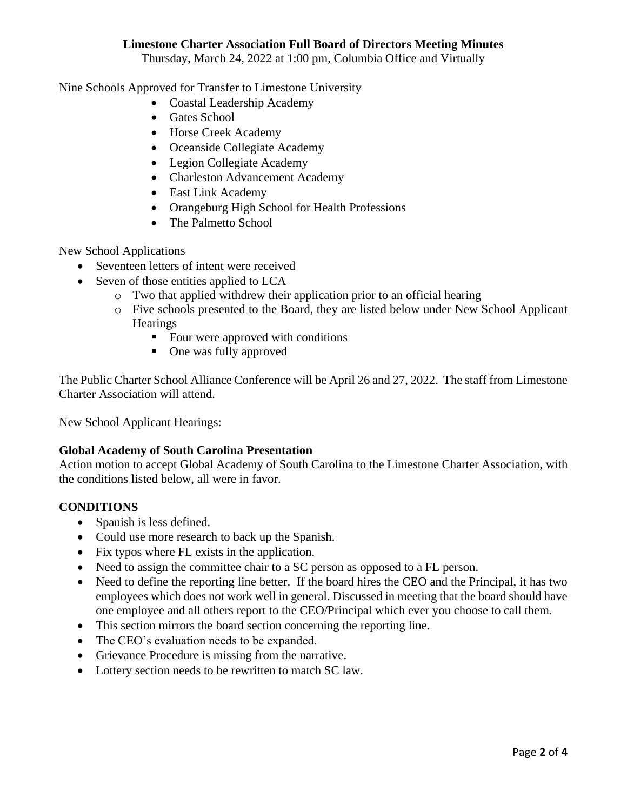Thursday, March 24, 2022 at 1:00 pm, Columbia Office and Virtually

Nine Schools Approved for Transfer to Limestone University

- Coastal Leadership Academy
- Gates School
- Horse Creek Academy
- Oceanside Collegiate Academy
- Legion Collegiate Academy
- Charleston Advancement Academy
- East Link Academy
- Orangeburg High School for Health Professions
- The Palmetto School

New School Applications

- Seventeen letters of intent were received
- Seven of those entities applied to LCA
	- o Two that applied withdrew their application prior to an official hearing
	- o Five schools presented to the Board, they are listed below under New School Applicant **Hearings** 
		- Four were approved with conditions
		- One was fully approved

The Public Charter School Alliance Conference will be April 26 and 27, 2022. The staff from Limestone Charter Association will attend.

New School Applicant Hearings:

## **Global Academy of South Carolina Presentation**

Action motion to accept Global Academy of South Carolina to the Limestone Charter Association, with the conditions listed below, all were in favor.

## **CONDITIONS**

- Spanish is less defined.
- Could use more research to back up the Spanish.
- Fix typos where FL exists in the application.
- Need to assign the committee chair to a SC person as opposed to a FL person.
- Need to define the reporting line better. If the board hires the CEO and the Principal, it has two employees which does not work well in general. Discussed in meeting that the board should have one employee and all others report to the CEO/Principal which ever you choose to call them.
- This section mirrors the board section concerning the reporting line.
- The CEO's evaluation needs to be expanded.
- Grievance Procedure is missing from the narrative.
- Lottery section needs to be rewritten to match SC law.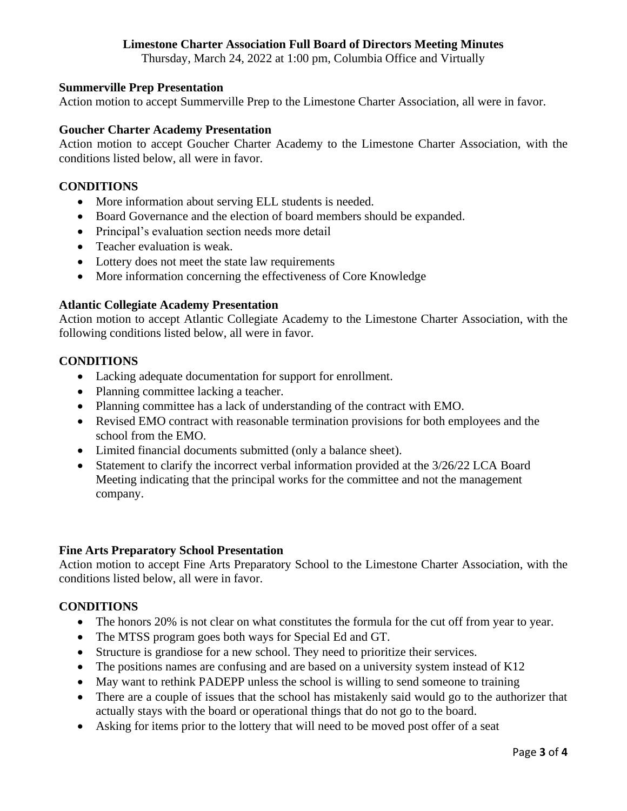Thursday, March 24, 2022 at 1:00 pm, Columbia Office and Virtually

## **Summerville Prep Presentation**

Action motion to accept Summerville Prep to the Limestone Charter Association, all were in favor.

## **Goucher Charter Academy Presentation**

Action motion to accept Goucher Charter Academy to the Limestone Charter Association, with the conditions listed below, all were in favor.

## **CONDITIONS**

- More information about serving ELL students is needed.
- Board Governance and the election of board members should be expanded.
- Principal's evaluation section needs more detail
- Teacher evaluation is weak.
- Lottery does not meet the state law requirements
- More information concerning the effectiveness of Core Knowledge

#### **Atlantic Collegiate Academy Presentation**

Action motion to accept Atlantic Collegiate Academy to the Limestone Charter Association, with the following conditions listed below, all were in favor.

## **CONDITIONS**

- Lacking adequate documentation for support for enrollment.
- Planning committee lacking a teacher.
- Planning committee has a lack of understanding of the contract with EMO.
- Revised EMO contract with reasonable termination provisions for both employees and the school from the EMO.
- Limited financial documents submitted (only a balance sheet).
- Statement to clarify the incorrect verbal information provided at the  $3/26/22$  LCA Board Meeting indicating that the principal works for the committee and not the management company.

#### **Fine Arts Preparatory School Presentation**

Action motion to accept Fine Arts Preparatory School to the Limestone Charter Association, with the conditions listed below, all were in favor.

#### **CONDITIONS**

- The honors 20% is not clear on what constitutes the formula for the cut off from year to year.
- The MTSS program goes both ways for Special Ed and GT.
- Structure is grandiose for a new school. They need to prioritize their services.
- The positions names are confusing and are based on a university system instead of K12
- May want to rethink PADEPP unless the school is willing to send someone to training
- There are a couple of issues that the school has mistakenly said would go to the authorizer that actually stays with the board or operational things that do not go to the board.
- Asking for items prior to the lottery that will need to be moved post offer of a seat